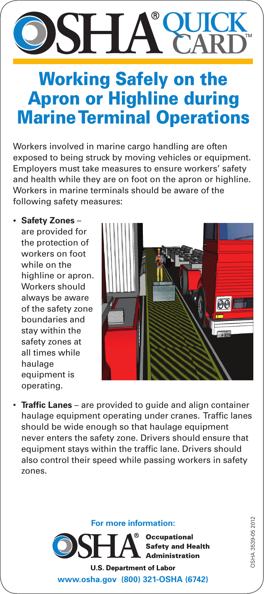# **QUICK CARD**

## Working Safely on the Apron or Highline during Marine Terminal Operations

Workers involved in marine cargo handling are often exposed to being struck by moving vehicles or equipment. Employers must take measures to ensure workers' safety and health while they are on foot on the apron or highline. Workers in marine terminals should be aware of the following safety measures:

**• Safety Zones** – are provided for the protection of workers on foot while on the highline or apron. Workers should always be aware of the safety zone boundaries and stay within the safety zones at all times while haulage equipment is operating.



• **Traffic Lanes** – are provided to quide and align container haulage equipment operating under cranes. Traffic lanes should be wide enough so that haulage equipment never enters the safety zone. Drivers should ensure that equipment stays within the traffic lane. Drivers should also control their speed while passing workers in safety zones.



**Occupational Safety and Health Administration** 

**U.S. Department of Labor www.osha.gov (800) 321-OSHA (6742)**